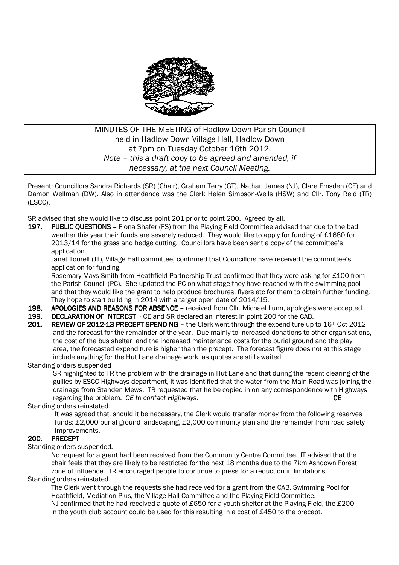

## MINUTES OF THE MEETING of Hadlow Down Parish Council held in Hadlow Down Village Hall, Hadlow Down at 7pm on Tuesday October 16th 2012. *Note – this a draft copy to be agreed and amended, if necessary, at the next Council Meeting.*

Present: Councillors Sandra Richards (SR) (Chair), Graham Terry (GT), Nathan James (NJ), Clare Emsden (CE) and Damon Wellman (DW). Also in attendance was the Clerk Helen Simpson-Wells (HSW) and Cllr. Tony Reid (TR) (ESCC).

SR advised that she would like to discuss point 201 prior to point 200. Agreed by all.

197. PUBLIC QUESTIONS – Fiona Shafer (FS) from the Playing Field Committee advised that due to the bad weather this year their funds are severely reduced. They would like to apply for funding of £1680 for 2013/14 for the grass and hedge cutting. Councillors have been sent a copy of the committee's application.

 Janet Tourell (JT), Village Hall committee, confirmed that Councillors have received the committee's application for funding.

 Rosemary Mays-Smith from Heathfield Partnership Trust confirmed that they were asking for £100 from the Parish Council (PC). She updated the PC on what stage they have reached with the swimming pool and that they would like the grant to help produce brochures, flyers etc for them to obtain further funding. They hope to start building in 2014 with a target open date of 2014/15.

- 198. APOLOGIES AND REASONS FOR ABSENCE received from Cllr. Michael Lunn, apologies were accepted.
- 199. DECLARATION OF INTEREST CE and SR declared an interest in point 200 for the CAB.
- 201. REVIEW OF 2012-13 PRECEPT SPENDING the Clerk went through the expenditure up to 16th Oct 2012 and the forecast for the remainder of the year. Due mainly to increased donations to other organisations, the cost of the bus shelter and the increased maintenance costs for the burial ground and the play area, the forecasted expenditure is higher than the precept. The forecast figure does not at this stage include anything for the Hut Lane drainage work, as quotes are still awaited.

Standing orders suspended

 SR highlighted to TR the problem with the drainage in Hut Lane and that during the recent clearing of the gullies by ESCC Highways department, it was identified that the water from the Main Road was joining the drainage from Standen Mews. TR requested that he be copied in on any correspondence with Highways regarding the problem. *CE to contact Highways.* CE

Standing orders reinstated.

 It was agreed that, should it be necessary, the Clerk would transfer money from the following reserves funds: £2,000 burial ground landscaping, £2,000 community plan and the remainder from road safety Improvements.

# 200. PRECEPT 200.

Standing orders suspended.

 No request for a grant had been received from the Community Centre Committee, JT advised that the chair feels that they are likely to be restricted for the next 18 months due to the 7km Ashdown Forest zone of influence. TR encouraged people to continue to press for a reduction in limitations.

Standing orders reinstated.

 The Clerk went through the requests she had received for a grant from the CAB, Swimming Pool for Heathfield, Mediation Plus, the Village Hall Committee and the Playing Field Committee. NJ confirmed that he had received a quote of £650 for a youth shelter at the Playing Field, the £200 in the youth club account could be used for this resulting in a cost of £450 to the precept.